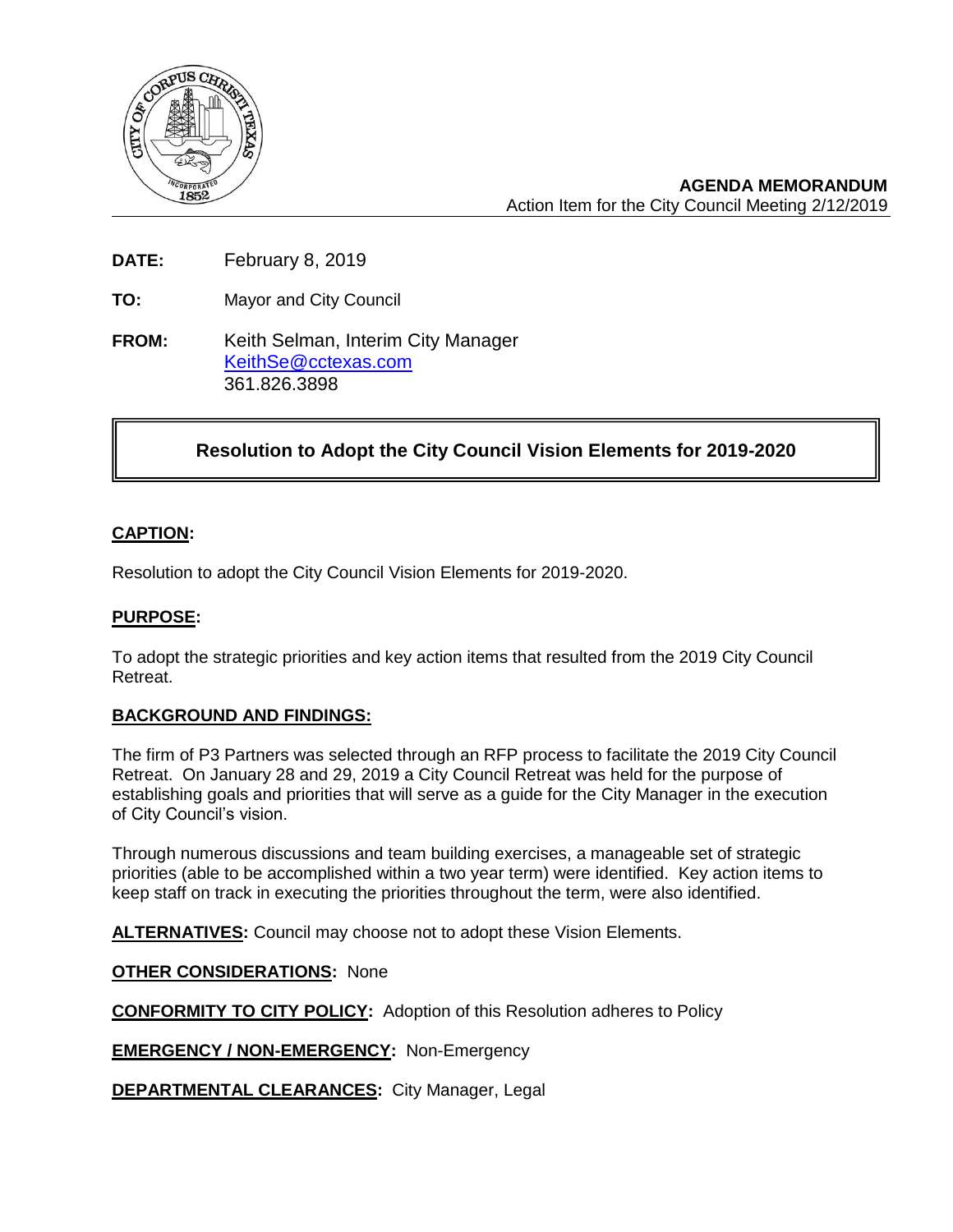

**AGENDA MEMORANDUM** Action Item for the City Council Meeting 2/12/2019

**DATE:** February 8, 2019

**TO:** Mayor and City Council

**FROM:** Keith Selman, Interim City Manager [KeithSe@cctexas.com](mailto:KeithSe@cctexas.com) 361.826.3898

# **Resolution to Adopt the City Council Vision Elements for 2019-2020**

# **CAPTION:**

Ī

Resolution to adopt the City Council Vision Elements for 2019-2020.

## **PURPOSE:**

To adopt the strategic priorities and key action items that resulted from the 2019 City Council Retreat.

#### **BACKGROUND AND FINDINGS:**

The firm of P3 Partners was selected through an RFP process to facilitate the 2019 City Council Retreat. On January 28 and 29, 2019 a City Council Retreat was held for the purpose of establishing goals and priorities that will serve as a guide for the City Manager in the execution of City Council's vision.

Through numerous discussions and team building exercises, a manageable set of strategic priorities (able to be accomplished within a two year term) were identified. Key action items to keep staff on track in executing the priorities throughout the term, were also identified.

**ALTERNATIVES:** Council may choose not to adopt these Vision Elements.

**OTHER CONSIDERATIONS:** None

**CONFORMITY TO CITY POLICY:** Adoption of this Resolution adheres to Policy

**EMERGENCY / NON-EMERGENCY:** Non-Emergency

**DEPARTMENTAL CLEARANCES:** City Manager, Legal